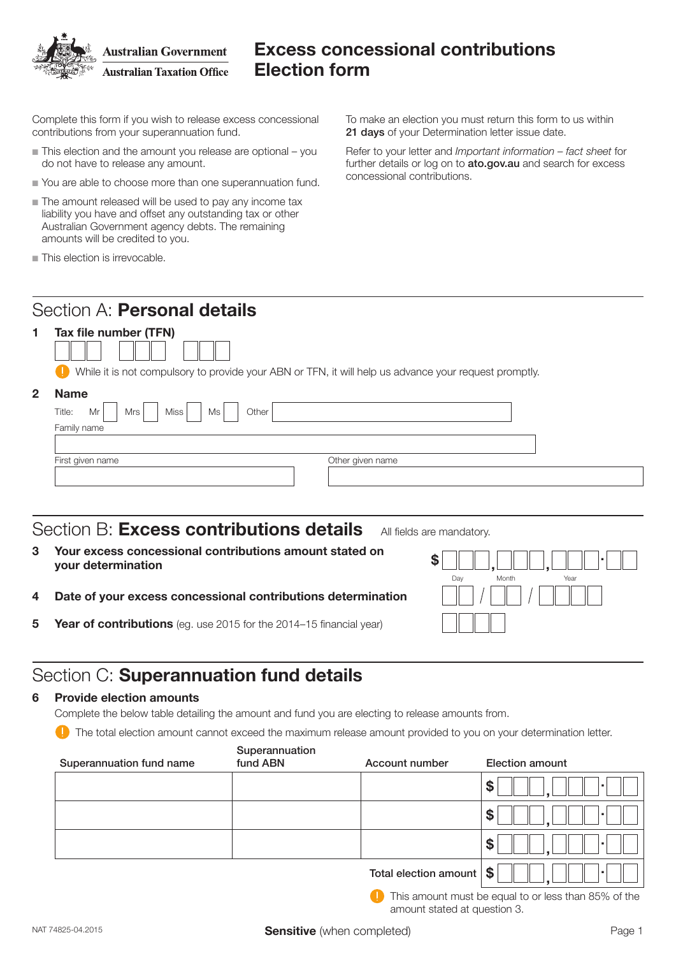

## Excess concessional contributions Election form

Complete this form if you wish to release excess concessional contributions from your superannuation fund.

- $\blacksquare$  This election and the amount you release are optional you do not have to release any amount.
- $\blacksquare$  You are able to choose more than one superannuation fund.
- $\blacksquare$  The amount released will be used to pay any income tax liability you have and offset any outstanding tax or other Australian Government agency debts. The remaining amounts will be credited to you.
- $\blacksquare$  This election is irrevocable.

To make an election you must return this form to us within 21 days of your Determination letter issue date.

Refer to your letter and *Important information – fact sheet* for further details or log on to ato.gov.au and search for excess concessional contributions.

### Section A: Personal details



While it is not compulsory to provide your ABN or TFN, it will help us advance your request promptly.

| <b>Name</b>                                       |
|---------------------------------------------------|
| Title:<br>Mr<br>Ms<br>Mrs<br><b>Miss</b><br>Other |
| Family name                                       |
|                                                   |
| First given name<br>Other given name              |
|                                                   |
|                                                   |

### Section B: **Excess contributions details** All fields are mandatory.

- 3 Your excess concessional contributions amount stated on  $\$\fbox{\texttt{min}},\fbox{\texttt{min}}\,,\fbox{\texttt{min}}\,.$
- 4 Date of your excess concessional contributions determination
- **5 Year of contributions** (eg. use 2015 for the 2014-15 financial year)

# Section C: Superannuation fund details

#### 6 Provide election amounts

Complete the below table detailing the amount and fund you are electing to release amounts from.

The total election amount cannot exceed the maximum release amount provided to you on your determination letter.

| Superannuation fund name | Superannuation<br>fund ABN | Account number        | <b>Election amount</b> |
|--------------------------|----------------------------|-----------------------|------------------------|
|                          |                            |                       | \$                     |
|                          |                            |                       | <b>S</b>               |
|                          |                            |                       | S                      |
|                          |                            | Total election amount | Ŝ.                     |

**This amount must be equal to or less than 85% of the** amount stated at question 3.

Day Month Year